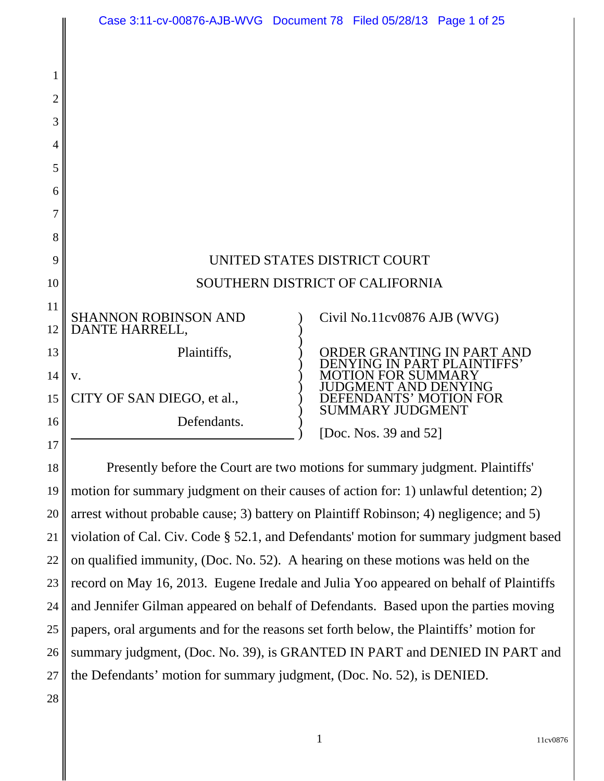|                | Case 3:11-cv-00876-AJB-WVG Document 78 Filed 05/28/13 Page 1 of 25           |  |                                                                              |                                                          |
|----------------|------------------------------------------------------------------------------|--|------------------------------------------------------------------------------|----------------------------------------------------------|
|                |                                                                              |  |                                                                              |                                                          |
| 1              |                                                                              |  |                                                                              |                                                          |
| $\overline{2}$ |                                                                              |  |                                                                              |                                                          |
| 3              |                                                                              |  |                                                                              |                                                          |
| 4              |                                                                              |  |                                                                              |                                                          |
| 5              |                                                                              |  |                                                                              |                                                          |
| 6              |                                                                              |  |                                                                              |                                                          |
| 7              |                                                                              |  |                                                                              |                                                          |
| 8              |                                                                              |  |                                                                              |                                                          |
| 9              | UNITED STATES DISTRICT COURT                                                 |  |                                                                              |                                                          |
| 10             | SOUTHERN DISTRICT OF CALIFORNIA                                              |  |                                                                              |                                                          |
| 11<br>12       | <b>SHANNON ROBINSON AND</b><br>DANTE HARRELL,                                |  | Civil No.11cv0876 AJB (WVG)                                                  |                                                          |
| 13             | Plaintiffs,                                                                  |  |                                                                              | ORDER GRANTING IN PART AND<br>ENYING IN PART PLAINTIFFS' |
| 14             | V.                                                                           |  | TION FOR SUMMARY                                                             |                                                          |
| 15             | CITY OF SAN DIEGO, et al.,                                                   |  | <b>GMENT AND DENYING</b><br>EFENDANTS' MOTION FOR<br><b>SUMMARY JUDGMENT</b> |                                                          |
| 16             | Defendants.                                                                  |  | [Doc. Nos. 39 and 52]                                                        |                                                          |
| 17             |                                                                              |  |                                                                              |                                                          |
| 18             | Presently before the Court are two motions for summary judgment. Plaintiffs' |  |                                                                              |                                                          |

19 20 21 22 23 24 25 26 27 motion for summary judgment on their causes of action for: 1) unlawful detention; 2) arrest without probable cause; 3) battery on Plaintiff Robinson; 4) negligence; and 5) violation of Cal. Civ. Code § 52.1, and Defendants' motion for summary judgment based on qualified immunity, (Doc. No. 52). A hearing on these motions was held on the record on May 16, 2013. Eugene Iredale and Julia Yoo appeared on behalf of Plaintiffs and Jennifer Gilman appeared on behalf of Defendants. Based upon the parties moving papers, oral arguments and for the reasons set forth below, the Plaintiffs' motion for summary judgment, (Doc. No. 39), is GRANTED IN PART and DENIED IN PART and the Defendants' motion for summary judgment, (Doc. No. 52), is DENIED.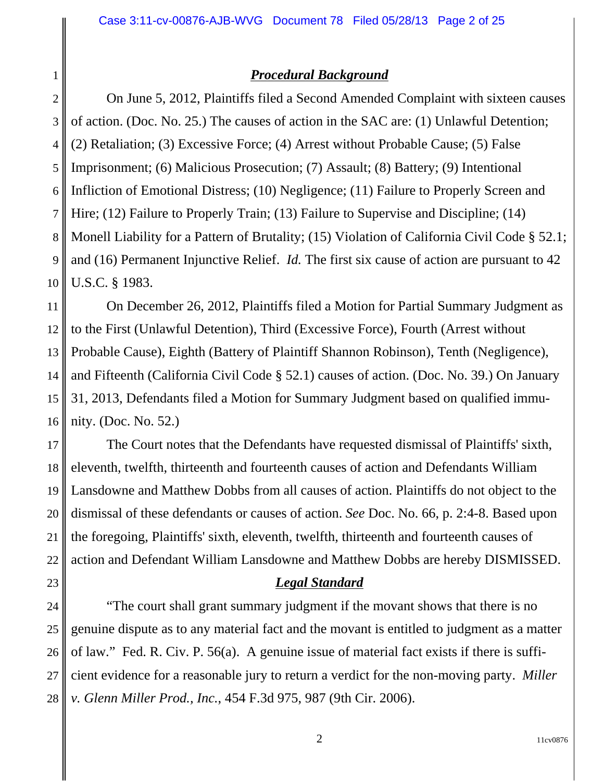## *Procedural Background*

4 5 6 7 8 9 10 On June 5, 2012, Plaintiffs filed a Second Amended Complaint with sixteen causes of action. (Doc. No. 25.) The causes of action in the SAC are: (1) Unlawful Detention; (2) Retaliation; (3) Excessive Force; (4) Arrest without Probable Cause; (5) False Imprisonment; (6) Malicious Prosecution; (7) Assault; (8) Battery; (9) Intentional Infliction of Emotional Distress; (10) Negligence; (11) Failure to Properly Screen and Hire; (12) Failure to Properly Train; (13) Failure to Supervise and Discipline; (14) Monell Liability for a Pattern of Brutality; (15) Violation of California Civil Code § 52.1; and (16) Permanent Injunctive Relief. *Id.* The first six cause of action are pursuant to 42 U.S.C. § 1983.

11 12 13 14 15 16 On December 26, 2012, Plaintiffs filed a Motion for Partial Summary Judgment as to the First (Unlawful Detention), Third (Excessive Force), Fourth (Arrest without Probable Cause), Eighth (Battery of Plaintiff Shannon Robinson), Tenth (Negligence), and Fifteenth (California Civil Code § 52.1) causes of action. (Doc. No. 39.) On January 31, 2013, Defendants filed a Motion for Summary Judgment based on qualified immunity. (Doc. No. 52.)

17 18 19 20 21 22 The Court notes that the Defendants have requested dismissal of Plaintiffs' sixth, eleventh, twelfth, thirteenth and fourteenth causes of action and Defendants William Lansdowne and Matthew Dobbs from all causes of action. Plaintiffs do not object to the dismissal of these defendants or causes of action. *See* Doc. No. 66, p. 2:4-8. Based upon the foregoing, Plaintiffs' sixth, eleventh, twelfth, thirteenth and fourteenth causes of action and Defendant William Lansdowne and Matthew Dobbs are hereby DISMISSED.

## *Legal Standard*

24 25 26 27 28 "The court shall grant summary judgment if the movant shows that there is no genuine dispute as to any material fact and the movant is entitled to judgment as a matter of law." Fed. R. Civ. P. 56(a). A genuine issue of material fact exists if there is sufficient evidence for a reasonable jury to return a verdict for the non-moving party. *Miller v. Glenn Miller Prod., Inc.*, 454 F.3d 975, 987 (9th Cir. 2006).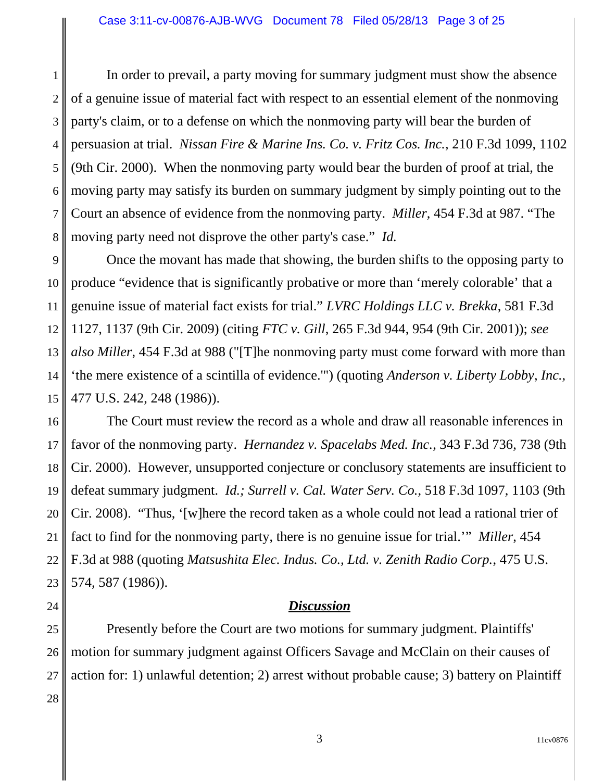1 2 3 4 5 6 7 8 In order to prevail, a party moving for summary judgment must show the absence of a genuine issue of material fact with respect to an essential element of the nonmoving party's claim, or to a defense on which the nonmoving party will bear the burden of persuasion at trial. *Nissan Fire & Marine Ins. Co. v. Fritz Cos. Inc.*, 210 F.3d 1099, 1102 (9th Cir. 2000). When the nonmoving party would bear the burden of proof at trial, the moving party may satisfy its burden on summary judgment by simply pointing out to the Court an absence of evidence from the nonmoving party. *Miller*, 454 F.3d at 987. "The moving party need not disprove the other party's case." *Id.*

9 10 11 12 13 14 15 Once the movant has made that showing, the burden shifts to the opposing party to produce "evidence that is significantly probative or more than 'merely colorable' that a genuine issue of material fact exists for trial." *LVRC Holdings LLC v. Brekka*, 581 F.3d 1127, 1137 (9th Cir. 2009) (citing *FTC v. Gill*, 265 F.3d 944, 954 (9th Cir. 2001)); *see also Miller*, 454 F.3d at 988 ("[T]he nonmoving party must come forward with more than 'the mere existence of a scintilla of evidence.'") (quoting *Anderson v. Liberty Lobby*, *Inc.*, 477 U.S. 242, 248 (1986)).

16 17 18 19 20 The Court must review the record as a whole and draw all reasonable inferences in favor of the nonmoving party. *Hernandez v. Spacelabs Med. Inc.*, 343 F.3d 736, 738 (9th Cir. 2000). However, unsupported conjecture or conclusory statements are insufficient to defeat summary judgment. *Id.; Surrell v. Cal. Water Serv. Co.*, 518 F.3d 1097, 1103 (9th Cir. 2008). "Thus, '[w]here the record taken as a whole could not lead a rational trier of fact to find for the nonmoving party, there is no genuine issue for trial.'" *Miller*, 454 F.3d at 988 (quoting *Matsushita Elec. Indus. Co., Ltd. v. Zenith Radio Corp.*, 475 U.S. 574, 587 (1986)).

## *Discussion*

28 Presently before the Court are two motions for summary judgment. Plaintiffs' motion for summary judgment against Officers Savage and McClain on their causes of action for: 1) unlawful detention; 2) arrest without probable cause; 3) battery on Plaintiff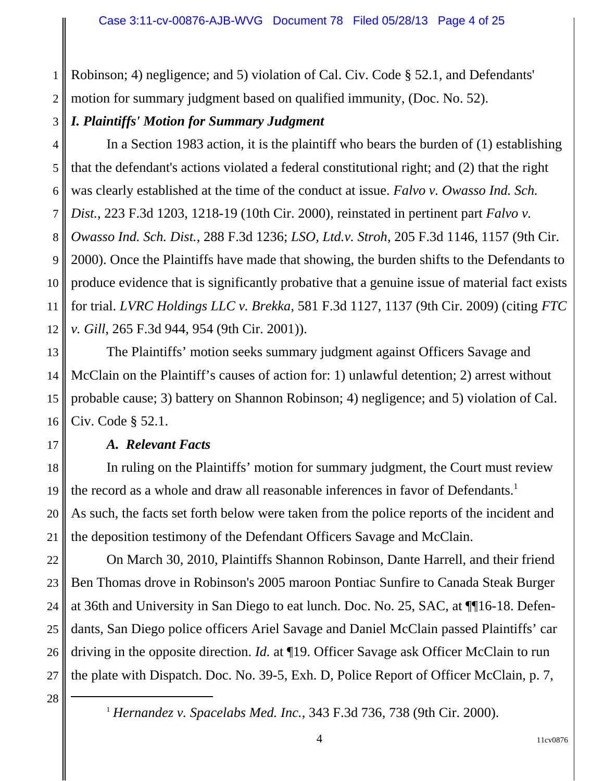1 2 Robinson; 4) negligence; and 5) violation of Cal. Civ. Code § 52.1, and Defendants' motion for summary judgment based on qualified immunity, (Doc. No. 52).

## *I. Plaintiffs' Motion for Summary Judgment*

3

17

19

20

21

22

24

25

27

28

4 5 6 7 8 9 10 11 12 In a Section 1983 action, it is the plaintiff who bears the burden of (1) establishing that the defendant's actions violated a federal constitutional right; and (2) that the right was clearly established at the time of the conduct at issue. *Falvo v. Owasso Ind. Sch. Dist.*, 223 F.3d 1203, 1218-19 (10th Cir. 2000), reinstated in pertinent part *Falvo v. Owasso Ind. Sch. Dist.*, 288 F.3d 1236; *LSO, Ltd.v. Stroh*, 205 F.3d 1146, 1157 (9th Cir. 2000). Once the Plaintiffs have made that showing, the burden shifts to the Defendants to produce evidence that is significantly probative that a genuine issue of material fact exists for trial. *LVRC Holdings LLC v. Brekka*, 581 F.3d 1127, 1137 (9th Cir. 2009) (citing *FTC v. Gill*, 265 F.3d 944, 954 (9th Cir. 2001)).

13 14 15 16 The Plaintiffs' motion seeks summary judgment against Officers Savage and McClain on the Plaintiff's causes of action for: 1) unlawful detention; 2) arrest without probable cause; 3) battery on Shannon Robinson; 4) negligence; and 5) violation of Cal. Civ. Code § 52.1.

## *A. Relevant Facts*

18 In ruling on the Plaintiffs' motion for summary judgment, the Court must review the record as a whole and draw all reasonable inferences in favor of Defendants.<sup>1</sup> As such, the facts set forth below were taken from the police reports of the incident and the deposition testimony of the Defendant Officers Savage and McClain.

23 26 On March 30, 2010, Plaintiffs Shannon Robinson, Dante Harrell, and their friend Ben Thomas drove in Robinson's 2005 maroon Pontiac Sunfire to Canada Steak Burger at 36th and University in San Diego to eat lunch. Doc. No. 25, SAC, at ¶¶16-18. Defendants, San Diego police officers Ariel Savage and Daniel McClain passed Plaintiffs' car driving in the opposite direction. *Id.* at ¶19. Officer Savage ask Officer McClain to run the plate with Dispatch. Doc. No. 39-5, Exh. D, Police Report of Officer McClain, p. 7,

<sup>1</sup> *Hernandez v. Spacelabs Med. Inc.*, 343 F.3d 736, 738 (9th Cir. 2000).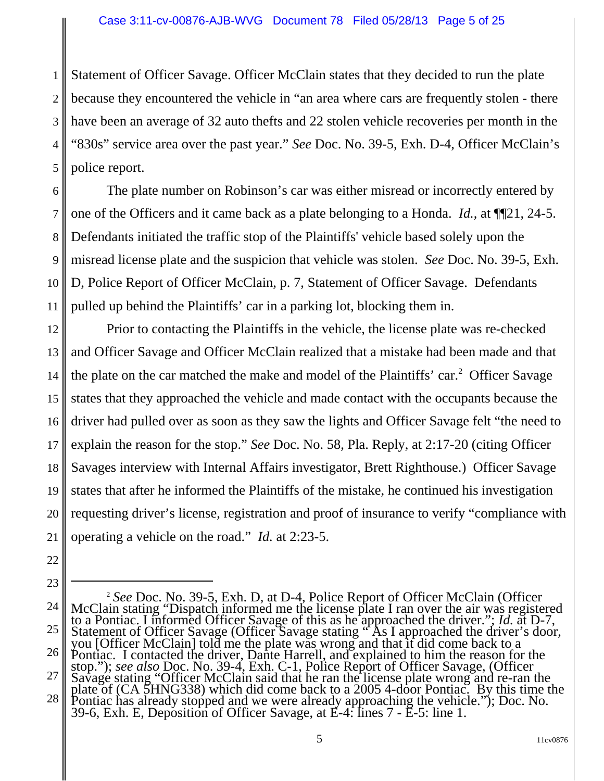1 2 3 4 5 Statement of Officer Savage. Officer McClain states that they decided to run the plate because they encountered the vehicle in "an area where cars are frequently stolen - there have been an average of 32 auto thefts and 22 stolen vehicle recoveries per month in the "830s" service area over the past year." *See* Doc. No. 39-5, Exh. D-4, Officer McClain's police report.

6 7 8 9 10 11 The plate number on Robinson's car was either misread or incorrectly entered by one of the Officers and it came back as a plate belonging to a Honda. *Id.*, at ¶¶21, 24-5. Defendants initiated the traffic stop of the Plaintiffs' vehicle based solely upon the misread license plate and the suspicion that vehicle was stolen. *See* Doc. No. 39-5, Exh. D, Police Report of Officer McClain, p. 7, Statement of Officer Savage. Defendants pulled up behind the Plaintiffs' car in a parking lot, blocking them in.

12 13 14 15 16 17 18 19 20 21 Prior to contacting the Plaintiffs in the vehicle, the license plate was re-checked and Officer Savage and Officer McClain realized that a mistake had been made and that the plate on the car matched the make and model of the Plaintiffs' car.<sup>2</sup> Officer Savage states that they approached the vehicle and made contact with the occupants because the driver had pulled over as soon as they saw the lights and Officer Savage felt "the need to explain the reason for the stop." *See* Doc. No. 58, Pla. Reply, at 2:17-20 (citing Officer Savages interview with Internal Affairs investigator, Brett Righthouse.) Officer Savage states that after he informed the Plaintiffs of the mistake, he continued his investigation requesting driver's license, registration and proof of insurance to verify "compliance with operating a vehicle on the road." *Id.* at 2:23-5.

22

<sup>24</sup> 25 26 27 28 <sup>2</sup> See Doc. No. 39-5, Exh. D, at D-4, Police Report of Officer McClain (Officer McClain stating "Dispatch informed me the license plate I ran over the air was registered to a Pontiac. I informed Officer Savage of this as Statement of Officer Savage (Officer Savage stating "As I approached the driver's door, you [Officer McClain] told me the plate was wrong and that it did come back to a Pontiac. I contacted the driver, Dante Harrell, and explained to him the reason for the stop."); *see also* Doc. No. 39-4, Exh. C-1, Police Report of Officer Savage, (Officer Savage stating "Officer McClain said that he ra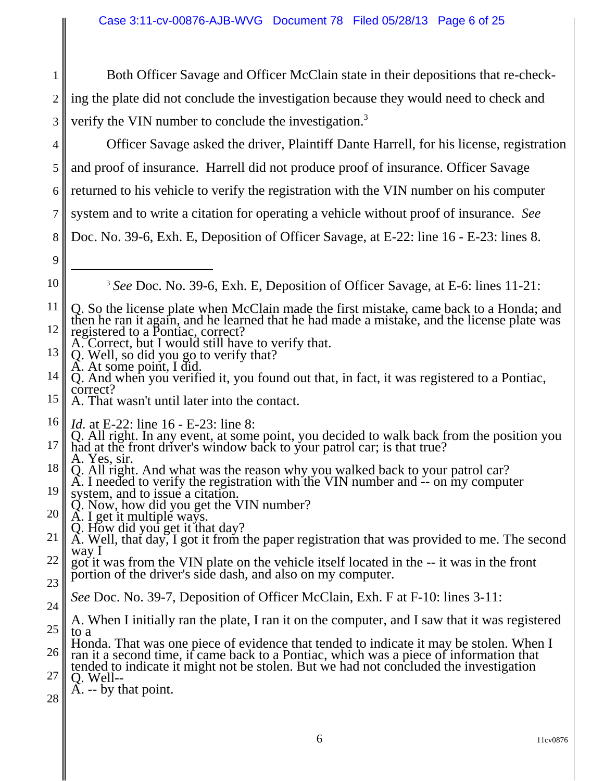1 2 3 Both Officer Savage and Officer McClain state in their depositions that re-checking the plate did not conclude the investigation because they would need to check and verify the VIN number to conclude the investigation.<sup>3</sup>

Officer Savage asked the driver, Plaintiff Dante Harrell, for his license, registration

4

5 6 7 8 9 10 11 12 13 14 15 16 17 18 19 20 21 22 23 24 25 26 27 28 and proof of insurance. Harrell did not produce proof of insurance. Officer Savage returned to his vehicle to verify the registration with the VIN number on his computer system and to write a citation for operating a vehicle without proof of insurance. *See* Doc. No. 39-6, Exh. E, Deposition of Officer Savage, at E-22: line 16 - E-23: lines 8. <sup>3</sup> *See* Doc. No. 39-6, Exh. E, Deposition of Officer Savage, at E-6: lines 11-21: Q. So the license plate when McClain made the first mistake, came back to a Honda; and then he ran it again, and he learned that he had made a mistake, and the license plate was registered to a Pontiac, correct?<br>A. Correct, but I would still have to verify that. Q. Well, so did you go to verify that? A. At some point, I did. Q. And when you verified it, you found out that, in fact, it was registered to a Pontiac, correct? A. That wasn't until later into the contact. *Id.* at E-22: line 16 - E-23: line 8: Q. All right. In any event, at some point, you decided to walk back from the position you had at the front driver's window back to your patrol car; is that true? A. Yes, sir. Q. All right. And what was the reason why you walked back to your patrol car? A. I needed to verify the registration with the VIN number and -- on my computer system, and to issue a citation. Q. Now, how did you get the VIN number? A. I get it multiple ways. Q. How did you get it that day? A. Well, that day, I got it from the paper registration that was provided to me. The second way I got it was from the VIN plate on the vehicle itself located in the -- it was in the front portion of the driver's side dash, and also on my computer. *See* Doc. No. 39-7, Deposition of Officer McClain, Exh. F at F-10: lines 3-11: A. When I initially ran the plate, I ran it on the computer, and I saw that it was registered to a<br>Honda. That was one piece of evidence that tended to indicate it may be stolen. When I ran it a second time, if came back to a Pontiac, which was a piece of information that tended to indicate it might not be stolen. But we had not concluded the investigation Q. Well--A. -- by that point.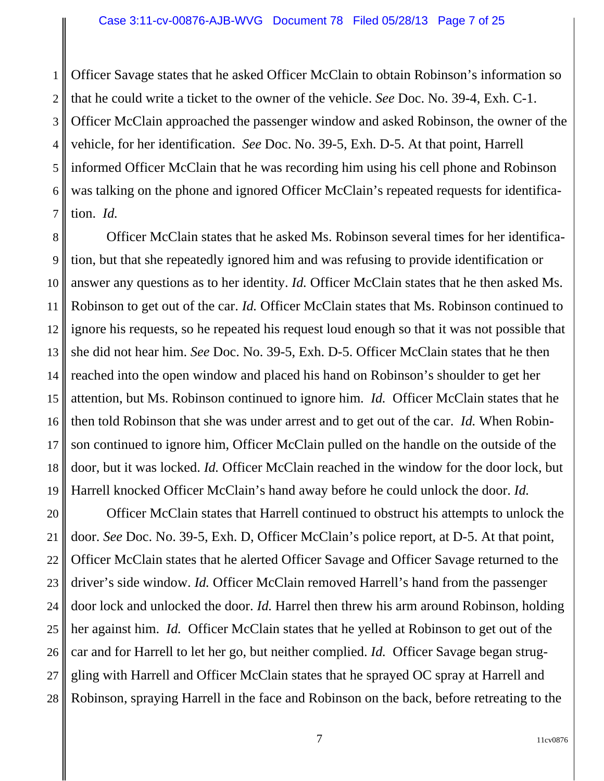1 2 3 4 5 6 7 Officer Savage states that he asked Officer McClain to obtain Robinson's information so that he could write a ticket to the owner of the vehicle. *See* Doc. No. 39-4, Exh. C-1. Officer McClain approached the passenger window and asked Robinson, the owner of the vehicle, for her identification. *See* Doc. No. 39-5, Exh. D-5. At that point, Harrell informed Officer McClain that he was recording him using his cell phone and Robinson was talking on the phone and ignored Officer McClain's repeated requests for identification. *Id.*

8 9 10 11 12 13 14 15 16 17 18 19 Officer McClain states that he asked Ms. Robinson several times for her identification, but that she repeatedly ignored him and was refusing to provide identification or answer any questions as to her identity. *Id.* Officer McClain states that he then asked Ms. Robinson to get out of the car. *Id.* Officer McClain states that Ms. Robinson continued to ignore his requests, so he repeated his request loud enough so that it was not possible that she did not hear him. *See* Doc. No. 39-5, Exh. D-5. Officer McClain states that he then reached into the open window and placed his hand on Robinson's shoulder to get her attention, but Ms. Robinson continued to ignore him. *Id.* Officer McClain states that he then told Robinson that she was under arrest and to get out of the car. *Id.* When Robinson continued to ignore him, Officer McClain pulled on the handle on the outside of the door, but it was locked. *Id.* Officer McClain reached in the window for the door lock, but Harrell knocked Officer McClain's hand away before he could unlock the door. *Id.*

20 21 22 23 24 25 26 27 28 Officer McClain states that Harrell continued to obstruct his attempts to unlock the door. *See* Doc. No. 39-5, Exh. D, Officer McClain's police report, at D-5. At that point, Officer McClain states that he alerted Officer Savage and Officer Savage returned to the driver's side window. *Id.* Officer McClain removed Harrell's hand from the passenger door lock and unlocked the door. *Id.* Harrel then threw his arm around Robinson, holding her against him. *Id.* Officer McClain states that he yelled at Robinson to get out of the car and for Harrell to let her go, but neither complied. *Id.* Officer Savage began struggling with Harrell and Officer McClain states that he sprayed OC spray at Harrell and Robinson, spraying Harrell in the face and Robinson on the back, before retreating to the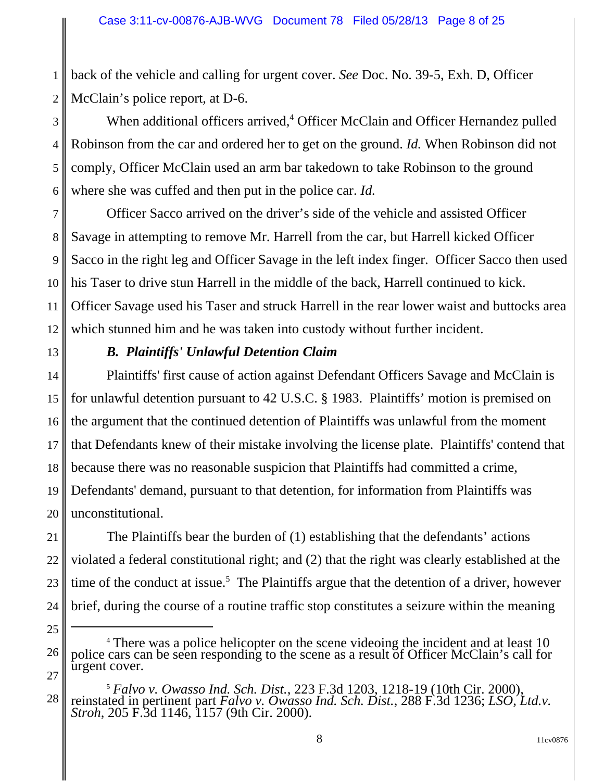1 2 back of the vehicle and calling for urgent cover. *See* Doc. No. 39-5, Exh. D, Officer McClain's police report, at D-6.

3 4 5 6 When additional officers arrived,<sup>4</sup> Officer McClain and Officer Hernandez pulled Robinson from the car and ordered her to get on the ground. *Id.* When Robinson did not comply, Officer McClain used an arm bar takedown to take Robinson to the ground where she was cuffed and then put in the police car. *Id.*

7 8 9 10 11 12 Officer Sacco arrived on the driver's side of the vehicle and assisted Officer Savage in attempting to remove Mr. Harrell from the car, but Harrell kicked Officer Sacco in the right leg and Officer Savage in the left index finger. Officer Sacco then used his Taser to drive stun Harrell in the middle of the back, Harrell continued to kick. Officer Savage used his Taser and struck Harrell in the rear lower waist and buttocks area which stunned him and he was taken into custody without further incident.

13

25

## *B. Plaintiffs' Unlawful Detention Claim*

14 15 16 17 18 19 20 Plaintiffs' first cause of action against Defendant Officers Savage and McClain is for unlawful detention pursuant to 42 U.S.C. § 1983. Plaintiffs' motion is premised on the argument that the continued detention of Plaintiffs was unlawful from the moment that Defendants knew of their mistake involving the license plate. Plaintiffs' contend that because there was no reasonable suspicion that Plaintiffs had committed a crime, Defendants' demand, pursuant to that detention, for information from Plaintiffs was unconstitutional.

21 22 23 24 The Plaintiffs bear the burden of (1) establishing that the defendants' actions violated a federal constitutional right; and (2) that the right was clearly established at the time of the conduct at issue.<sup>5</sup> The Plaintiffs argue that the detention of a driver, however brief, during the course of a routine traffic stop constitutes a seizure within the meaning

<sup>26</sup> 27 <sup>4</sup> There was a police helicopter on the scene videoing the incident and at least 10 police cars can be seen responding to the scene as a result of Officer McClain's call for urgent cover.

<sup>28</sup> <sup>5</sup> *Falvo v. Owasso Ind. Sch. Dist.*, 223 F.3d 1203, 1218-19 (10th Cir. 2000), reinstated in pertinent part *Falvo v. Owasso Ind. Sch. Dist.*, 288 F.3d 1236; *LSO, Ltd.v. Stroh*, 205 F.3d 1146, 1157 (9th Cir. 2000).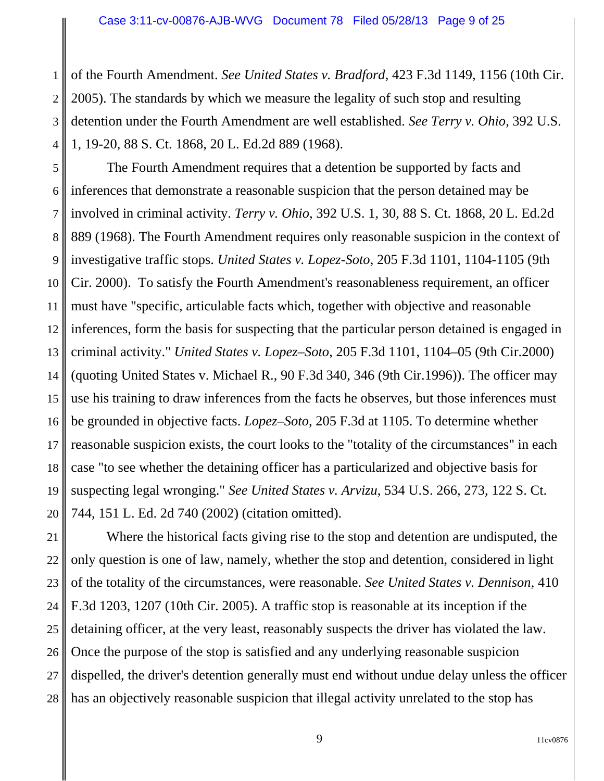1

2 3 4 of the Fourth Amendment. *See United States v. Bradford*, 423 F.3d 1149, 1156 (10th Cir. 2005). The standards by which we measure the legality of such stop and resulting detention under the Fourth Amendment are well established. *See Terry v. Ohio*, 392 U.S. 1, 19-20, 88 S. Ct. 1868, 20 L. Ed.2d 889 (1968).

5 6 7 8 9 10 11 12 13 14 15 16 17 18 19 20 The Fourth Amendment requires that a detention be supported by facts and inferences that demonstrate a reasonable suspicion that the person detained may be involved in criminal activity. *Terry v. Ohio*, 392 U.S. 1, 30, 88 S. Ct. 1868, 20 L. Ed.2d 889 (1968). The Fourth Amendment requires only reasonable suspicion in the context of investigative traffic stops. *United States v. Lopez-Soto*, 205 F.3d 1101, 1104-1105 (9th Cir. 2000). To satisfy the Fourth Amendment's reasonableness requirement, an officer must have "specific, articulable facts which, together with objective and reasonable inferences, form the basis for suspecting that the particular person detained is engaged in criminal activity." *United States v. Lopez–Soto*, 205 F.3d 1101, 1104–05 (9th Cir.2000) (quoting United States v. Michael R., 90 F.3d 340, 346 (9th Cir.1996)). The officer may use his training to draw inferences from the facts he observes, but those inferences must be grounded in objective facts. *Lopez–Soto*, 205 F.3d at 1105. To determine whether reasonable suspicion exists, the court looks to the "totality of the circumstances" in each case "to see whether the detaining officer has a particularized and objective basis for suspecting legal wronging." *See United States v. Arvizu*, 534 U.S. 266, 273, 122 S. Ct. 744, 151 L. Ed. 2d 740 (2002) (citation omitted).

21 22 23 24 25 26 27 28 Where the historical facts giving rise to the stop and detention are undisputed, the only question is one of law, namely, whether the stop and detention, considered in light of the totality of the circumstances, were reasonable. *See United States v. Dennison*, 410 F.3d 1203, 1207 (10th Cir. 2005). A traffic stop is reasonable at its inception if the detaining officer, at the very least, reasonably suspects the driver has violated the law. Once the purpose of the stop is satisfied and any underlying reasonable suspicion dispelled, the driver's detention generally must end without undue delay unless the officer has an objectively reasonable suspicion that illegal activity unrelated to the stop has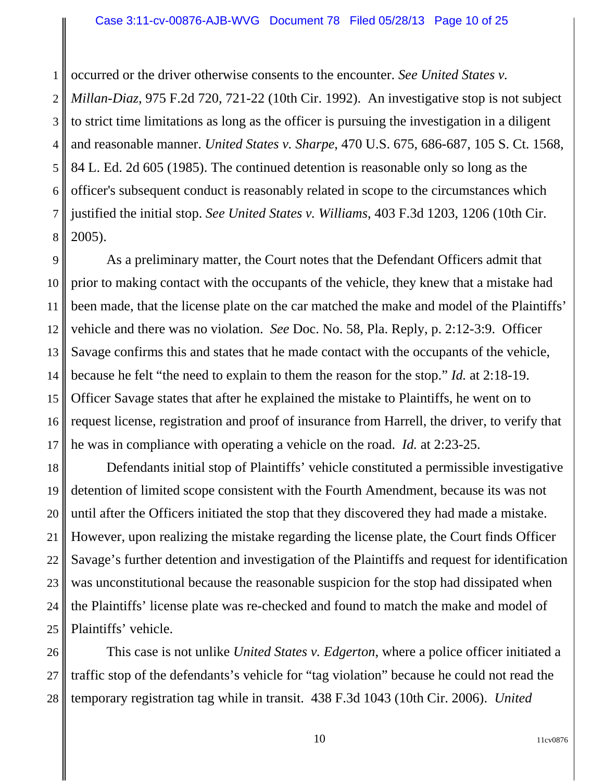1 2 3 4 5 6 7 8 occurred or the driver otherwise consents to the encounter. *See United States v. Millan-Diaz*, 975 F.2d 720, 721-22 (10th Cir. 1992). An investigative stop is not subject to strict time limitations as long as the officer is pursuing the investigation in a diligent and reasonable manner. *United States v. Sharpe*, 470 U.S. 675, 686-687, 105 S. Ct. 1568, 84 L. Ed. 2d 605 (1985). The continued detention is reasonable only so long as the officer's subsequent conduct is reasonably related in scope to the circumstances which justified the initial stop. *See United States v. Williams*, 403 F.3d 1203, 1206 (10th Cir. 2005).

9 10 11 12 13 14 15 16 17 As a preliminary matter, the Court notes that the Defendant Officers admit that prior to making contact with the occupants of the vehicle, they knew that a mistake had been made, that the license plate on the car matched the make and model of the Plaintiffs' vehicle and there was no violation. *See* Doc. No. 58, Pla. Reply, p. 2:12-3:9. Officer Savage confirms this and states that he made contact with the occupants of the vehicle, because he felt "the need to explain to them the reason for the stop." *Id.* at 2:18-19. Officer Savage states that after he explained the mistake to Plaintiffs, he went on to request license, registration and proof of insurance from Harrell, the driver, to verify that he was in compliance with operating a vehicle on the road. *Id.* at 2:23-25.

18 19 20 21 22 23 24 25 Defendants initial stop of Plaintiffs' vehicle constituted a permissible investigative detention of limited scope consistent with the Fourth Amendment, because its was not until after the Officers initiated the stop that they discovered they had made a mistake. However, upon realizing the mistake regarding the license plate, the Court finds Officer Savage's further detention and investigation of the Plaintiffs and request for identification was unconstitutional because the reasonable suspicion for the stop had dissipated when the Plaintiffs' license plate was re-checked and found to match the make and model of Plaintiffs' vehicle.

26 27 28 This case is not unlike *United States v. Edgerton*, where a police officer initiated a traffic stop of the defendants's vehicle for "tag violation" because he could not read the temporary registration tag while in transit. 438 F.3d 1043 (10th Cir. 2006). *United*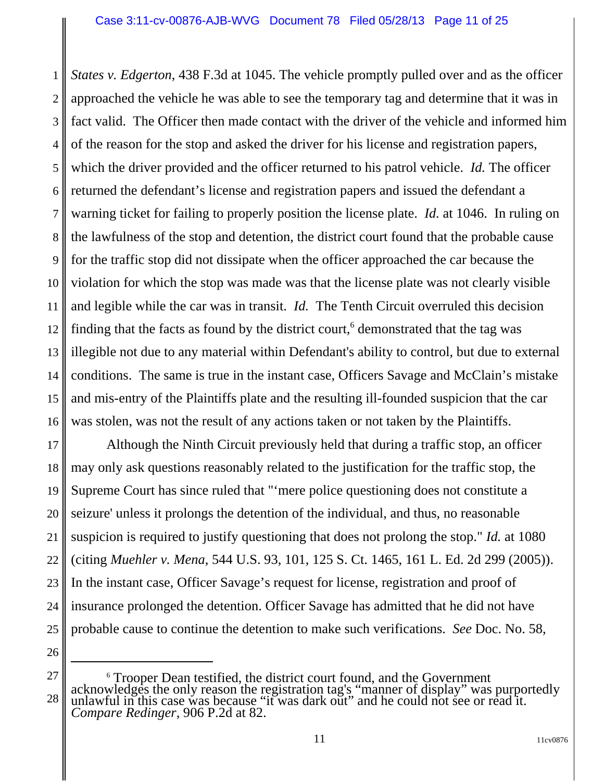1 2 3 4 5 6 7 8 9 10 11 12 13 14 15 16 *States v. Edgerton*, 438 F.3d at 1045. The vehicle promptly pulled over and as the officer approached the vehicle he was able to see the temporary tag and determine that it was in fact valid. The Officer then made contact with the driver of the vehicle and informed him of the reason for the stop and asked the driver for his license and registration papers, which the driver provided and the officer returned to his patrol vehicle. *Id.* The officer returned the defendant's license and registration papers and issued the defendant a warning ticket for failing to properly position the license plate. *Id.* at 1046. In ruling on the lawfulness of the stop and detention, the district court found that the probable cause for the traffic stop did not dissipate when the officer approached the car because the violation for which the stop was made was that the license plate was not clearly visible and legible while the car was in transit. *Id.* The Tenth Circuit overruled this decision finding that the facts as found by the district court, $6$  demonstrated that the tag was illegible not due to any material within Defendant's ability to control, but due to external conditions. The same is true in the instant case, Officers Savage and McClain's mistake and mis-entry of the Plaintiffs plate and the resulting ill-founded suspicion that the car was stolen, was not the result of any actions taken or not taken by the Plaintiffs.

17 18 19 20 21 22 23 24 25 Although the Ninth Circuit previously held that during a traffic stop, an officer may only ask questions reasonably related to the justification for the traffic stop, the Supreme Court has since ruled that "'mere police questioning does not constitute a seizure' unless it prolongs the detention of the individual, and thus, no reasonable suspicion is required to justify questioning that does not prolong the stop." *Id.* at 1080 (citing *Muehler v. Mena*, 544 U.S. 93, 101, 125 S. Ct. 1465, 161 L. Ed. 2d 299 (2005)). In the instant case, Officer Savage's request for license, registration and proof of insurance prolonged the detention. Officer Savage has admitted that he did not have probable cause to continue the detention to make such verifications. *See* Doc. No. 58,

<sup>26</sup> 27

<sup>28</sup> 6 Trooper Dean testified, the district court found, and the Government acknowledges the only reason the registration tag's "manner of display" was purportedly unlawful in this case was because "it was dark out" and he could not see or read it. *Compare Redinger*, 906 P.2d at 82.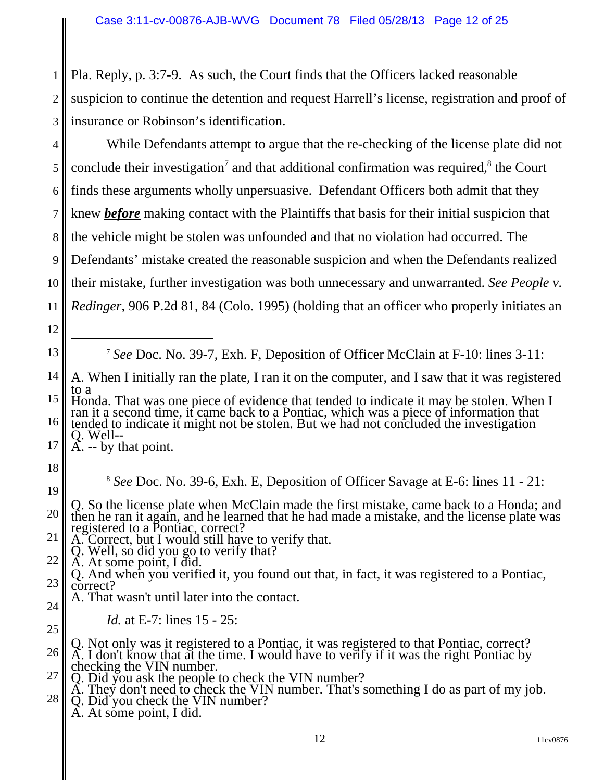1 2 3 Pla. Reply, p. 3:7-9. As such, the Court finds that the Officers lacked reasonable suspicion to continue the detention and request Harrell's license, registration and proof of insurance or Robinson's identification.

4 5 6 7 8 9 10 11 While Defendants attempt to argue that the re-checking of the license plate did not conclude their investigation<sup>7</sup> and that additional confirmation was required, ${}^{8}$  the Court finds these arguments wholly unpersuasive. Defendant Officers both admit that they knew *before* making contact with the Plaintiffs that basis for their initial suspicion that the vehicle might be stolen was unfounded and that no violation had occurred. The Defendants' mistake created the reasonable suspicion and when the Defendants realized their mistake, further investigation was both unnecessary and unwarranted. *See People v. Redinger*, 906 P.2d 81, 84 (Colo. 1995) (holding that an officer who properly initiates an

12

13

<sup>7</sup> *See* Doc. No. 39-7, Exh. F, Deposition of Officer McClain at F-10: lines 3-11:

- 14 A. When I initially ran the plate, I ran it on the computer, and I saw that it was registered to a
- 15 16 Honda. That was one piece of evidence that tended to indicate it may be stolen. When I ran it a second time, it came back to a Pontiac, which was a piece of information that tended to indicate it might not be stolen. But w
- 17 A. -- by that point.
- 18

19

24

25

<sup>8</sup> *See* Doc. No. 39-6, Exh. E, Deposition of Officer Savage at E-6: lines 11 - 21:

- 20 Q. So the license plate when McClain made the first mistake, came back to a Honda; and then he ran it again, and he learned that he had made a mistake, and the license plate was registered to a Pontiac, correct?
- 21 A. Correct, but I would still have to verify that.
- Q. Well, so did you go to verify that?
- 22 A. At some point, I did.
- 23 Q. And when you verified it, you found out that, in fact, it was registered to a Pontiac, correct?
	- A. That wasn't until later into the contact.
		- *Id.* at E-7: lines 15 25:
- 26 Q. Not only was it registered to a Pontiac, it was registered to that Pontiac, correct? A. I don't know that at the time. I would have to verify if it was the right Pontiac by checking the VIN number.
- 27 Q. Did you ask the people to check the VIN number?
- 28 A. They don't need to check the VIN number. That's something I do as part of my job. Q. Did you check the VIN number? Q. Did you check the VIN number?<br>A. At some point, I did.
	-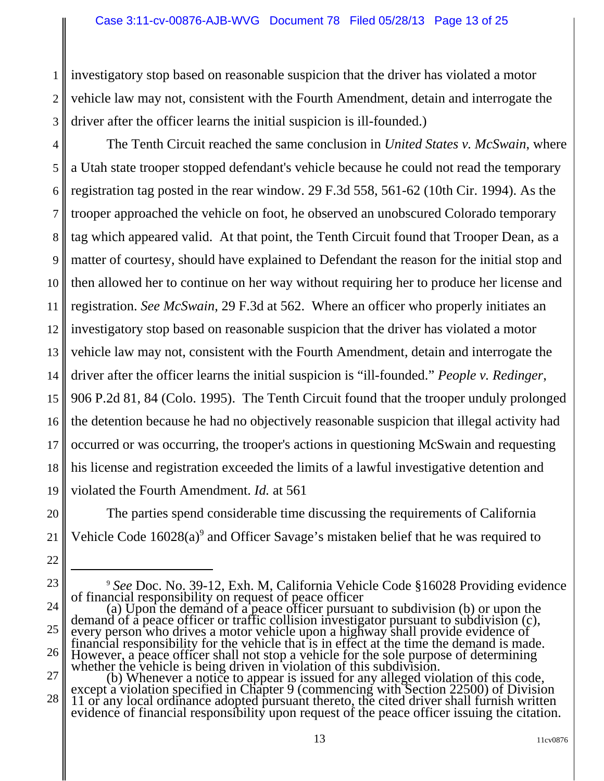3 investigatory stop based on reasonable suspicion that the driver has violated a motor vehicle law may not, consistent with the Fourth Amendment, detain and interrogate the driver after the officer learns the initial suspicion is ill-founded.)

1

2

20

21

22

23

4 5 6 7 8 9 10 11 12 13 14 15 16 17 18 19 The Tenth Circuit reached the same conclusion in *United States v. McSwain*, where a Utah state trooper stopped defendant's vehicle because he could not read the temporary registration tag posted in the rear window. 29 F.3d 558, 561-62 (10th Cir. 1994). As the trooper approached the vehicle on foot, he observed an unobscured Colorado temporary tag which appeared valid. At that point, the Tenth Circuit found that Trooper Dean, as a matter of courtesy, should have explained to Defendant the reason for the initial stop and then allowed her to continue on her way without requiring her to produce her license and registration. *See McSwain*, 29 F.3d at 562. Where an officer who properly initiates an investigatory stop based on reasonable suspicion that the driver has violated a motor vehicle law may not, consistent with the Fourth Amendment, detain and interrogate the driver after the officer learns the initial suspicion is "ill-founded." *People v. Redinger*, 906 P.2d 81, 84 (Colo. 1995). The Tenth Circuit found that the trooper unduly prolonged the detention because he had no objectively reasonable suspicion that illegal activity had occurred or was occurring, the trooper's actions in questioning McSwain and requesting his license and registration exceeded the limits of a lawful investigative detention and violated the Fourth Amendment. *Id.* at 561

The parties spend considerable time discussing the requirements of California Vehicle Code  $16028(a)$ <sup>9</sup> and Officer Savage's mistaken belief that he was required to

<sup>24</sup> 25 26 <sup>9</sup> See Doc. No. 39-12, Exh. M, California Vehicle Code §16028 Providing evidence<br>of financial responsibility on request of peace officer<br>(a) Upon the demand of a peace officer pursuant to subdivision (b) or upon the<br>dema every person who drives a motor vehicle upon a highway shall provide evidence of financial responsibility for the vehicle that is in effect at the time the demand is made. However, a peace officer shall not stop a vehicle for the sole purpose of determining<br>whether the vehicle is being driven in violation of this subdivision.<br>(b) Whenever a notice to appear is issued for any alleged violatio

<sup>27</sup> 28 11 or any local ordinance adopted pursuant thereto, the cited driver shall furnish written evidence of financial responsibility upon request of the peace officer issuing the citation.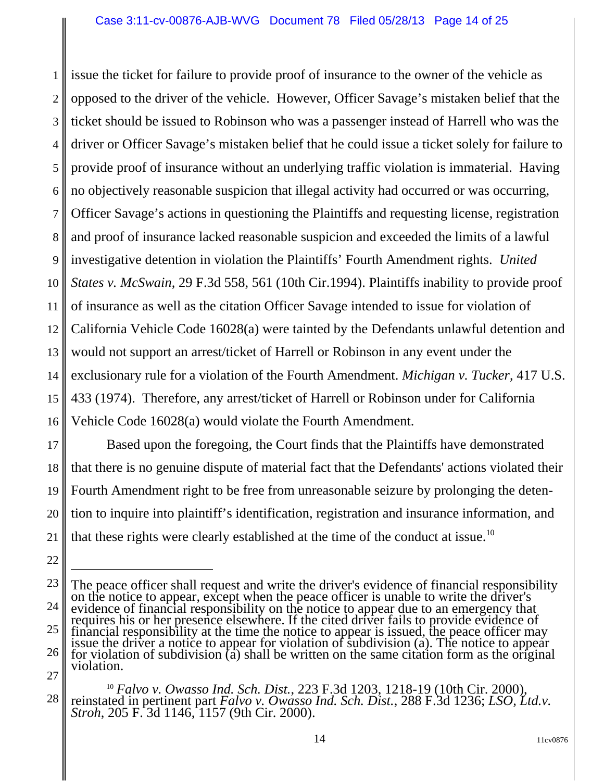1 2 3 4 5 6 7 8 9 10 11 12 13 14 15 16 issue the ticket for failure to provide proof of insurance to the owner of the vehicle as opposed to the driver of the vehicle. However, Officer Savage's mistaken belief that the ticket should be issued to Robinson who was a passenger instead of Harrell who was the driver or Officer Savage's mistaken belief that he could issue a ticket solely for failure to provide proof of insurance without an underlying traffic violation is immaterial. Having no objectively reasonable suspicion that illegal activity had occurred or was occurring, Officer Savage's actions in questioning the Plaintiffs and requesting license, registration and proof of insurance lacked reasonable suspicion and exceeded the limits of a lawful investigative detention in violation the Plaintiffs' Fourth Amendment rights. *United States v. McSwain*, 29 F.3d 558, 561 (10th Cir.1994). Plaintiffs inability to provide proof of insurance as well as the citation Officer Savage intended to issue for violation of California Vehicle Code 16028(a) were tainted by the Defendants unlawful detention and would not support an arrest/ticket of Harrell or Robinson in any event under the exclusionary rule for a violation of the Fourth Amendment. *Michigan v. Tucker*, 417 U.S. 433 (1974). Therefore, any arrest/ticket of Harrell or Robinson under for California Vehicle Code 16028(a) would violate the Fourth Amendment.

17 18 19 20 21 Based upon the foregoing, the Court finds that the Plaintiffs have demonstrated that there is no genuine dispute of material fact that the Defendants' actions violated their Fourth Amendment right to be free from unreasonable seizure by prolonging the detention to inquire into plaintiff's identification, registration and insurance information, and that these rights were clearly established at the time of the conduct at issue.<sup>10</sup>

<sup>23</sup> 24 25 26 27 The peace officer shall request and write the driver's evidence of financial responsibility on the peace officer is unable to write the driver's evidence of financial responsibility on the notice to appear due to an emerge financial responsibility at the time the notice to appear is issued, the peace officer may<br>issue the driver a notice to appear for violation of subdivision (a). The notice to appear<br>for violation of subdivision (a) shall b

<sup>28</sup> <sup>10</sup> *Falvo v. Owasso Ind. Sch. Dist.*, 223 F.3d 1203, 1218-19 (10th Cir. 2000), reinstated in pertinent part *Falvo v. Owasso Ind. Sch. Dist.*, 288 F.3d 1236; *LSO, Ltd.v. Stroh*, 205 F. 3d 1146, 1157 (9th Cir. 2000).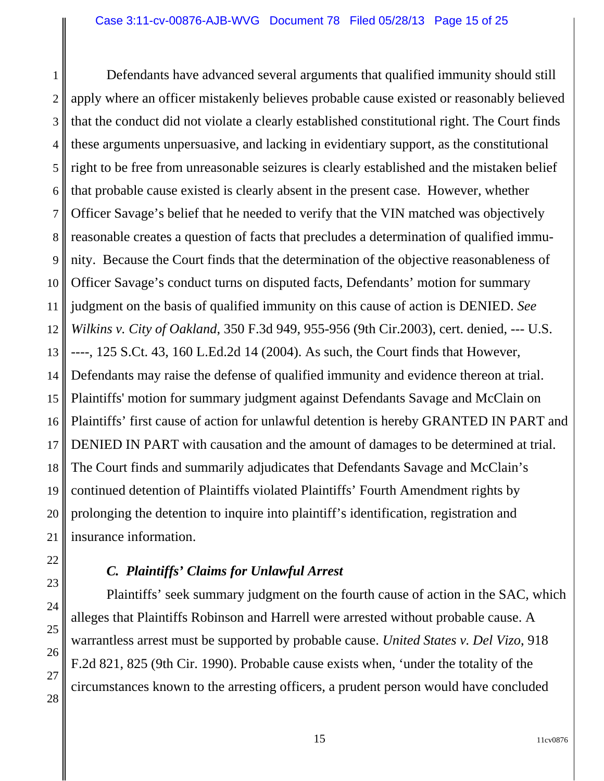1 2 3 4 5 6 7 8 9 10 11 12 13 14 15 16 17 18 19 20 21 Defendants have advanced several arguments that qualified immunity should still apply where an officer mistakenly believes probable cause existed or reasonably believed that the conduct did not violate a clearly established constitutional right. The Court finds these arguments unpersuasive, and lacking in evidentiary support, as the constitutional right to be free from unreasonable seizures is clearly established and the mistaken belief that probable cause existed is clearly absent in the present case. However, whether Officer Savage's belief that he needed to verify that the VIN matched was objectively reasonable creates a question of facts that precludes a determination of qualified immunity. Because the Court finds that the determination of the objective reasonableness of Officer Savage's conduct turns on disputed facts, Defendants' motion for summary judgment on the basis of qualified immunity on this cause of action is DENIED. *See Wilkins v. City of Oakland*, 350 F.3d 949, 955-956 (9th Cir.2003), cert. denied, --- U.S. ----, 125 S.Ct. 43, 160 L.Ed.2d 14 (2004). As such, the Court finds that However, Defendants may raise the defense of qualified immunity and evidence thereon at trial. Plaintiffs' motion for summary judgment against Defendants Savage and McClain on Plaintiffs' first cause of action for unlawful detention is hereby GRANTED IN PART and DENIED IN PART with causation and the amount of damages to be determined at trial. The Court finds and summarily adjudicates that Defendants Savage and McClain's continued detention of Plaintiffs violated Plaintiffs' Fourth Amendment rights by prolonging the detention to inquire into plaintiff's identification, registration and insurance information.

# *C. Plaintiffs' Claims for Unlawful Arrest*

22

23

24

25

26

27

28

Plaintiffs' seek summary judgment on the fourth cause of action in the SAC, which alleges that Plaintiffs Robinson and Harrell were arrested without probable cause. A warrantless arrest must be supported by probable cause. *United States v. Del Vizo*, 918 F.2d 821, 825 (9th Cir. 1990). Probable cause exists when, 'under the totality of the circumstances known to the arresting officers, a prudent person would have concluded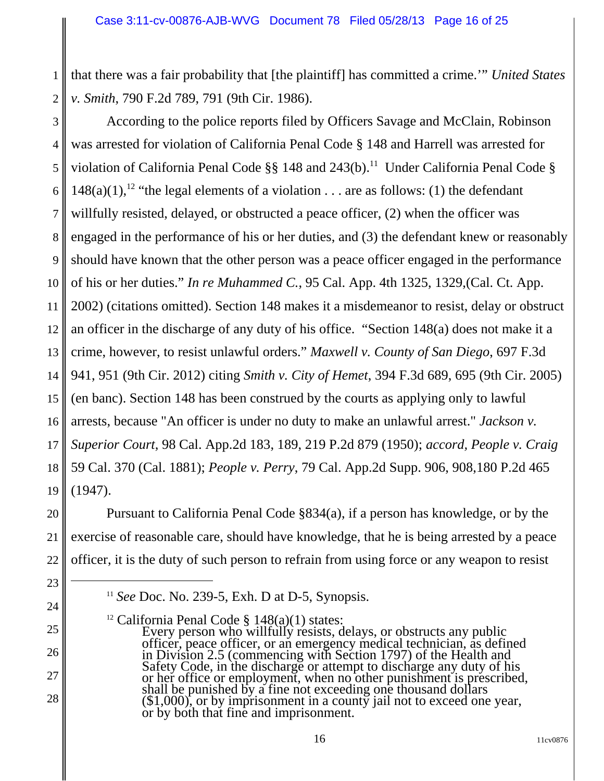1 2 that there was a fair probability that [the plaintiff] has committed a crime.'" *United States v. Smith*, 790 F.2d 789, 791 (9th Cir. 1986).

3 4 5 6 7 8 9 10 11 12 13 14 15 16 17 18 19 According to the police reports filed by Officers Savage and McClain, Robinson was arrested for violation of California Penal Code § 148 and Harrell was arrested for violation of California Penal Code  $\S$ § 148 and 243(b).<sup>11</sup> Under California Penal Code § 148(a)(1),<sup>12</sup> "the legal elements of a violation . . . are as follows: (1) the defendant willfully resisted, delayed, or obstructed a peace officer, (2) when the officer was engaged in the performance of his or her duties, and (3) the defendant knew or reasonably should have known that the other person was a peace officer engaged in the performance of his or her duties." *In re Muhammed C.*, 95 Cal. App. 4th 1325, 1329,(Cal. Ct. App. 2002) (citations omitted). Section 148 makes it a misdemeanor to resist, delay or obstruct an officer in the discharge of any duty of his office. "Section 148(a) does not make it a crime, however, to resist unlawful orders." *Maxwell v. County of San Diego*, 697 F.3d 941, 951 (9th Cir. 2012) citing *Smith v. City of Hemet*, 394 F.3d 689, 695 (9th Cir. 2005) (en banc). Section 148 has been construed by the courts as applying only to lawful arrests, because "An officer is under no duty to make an unlawful arrest." *Jackson v. Superior Court*, 98 Cal. App.2d 183, 189, 219 P.2d 879 (1950); *accord, People v. Craig* 59 Cal. 370 (Cal. 1881); *People v. Perry*, 79 Cal. App.2d Supp. 906, 908,180 P.2d 465 (1947).

Pursuant to California Penal Code §834(a), if a person has knowledge, or by the exercise of reasonable care, should have knowledge, that he is being arrested by a peace officer, it is the duty of such person to refrain from using force or any weapon to resist

20

21

22

23

24

25

26

27

<sup>11</sup> *See* Doc. No. 239-5, Exh. D at D-5, Synopsis.

<sup>&</sup>lt;sup>12</sup> California Penal Code  $\S$  148(a)(1) states:<br>Every person who willfully resists, delays, or obstructs any public<br>officer, peace officer, or an emergency medical technician, as defined Safety Code, in the discharge or attempt to discharge any duty of his or her office or employment, when no other punishment is prescribed, shall be punished by a fine not exceeding one thousand dollars  $(\$1,000)$ , or by imprisonment in a county jail not to exceed one year, or by both that fine and imprisonment.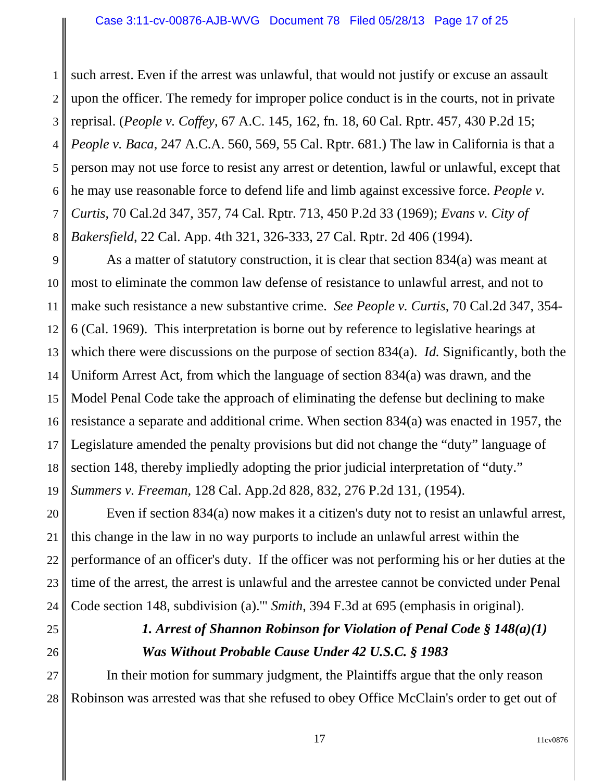1 2 3 4 5 6 7 8 such arrest. Even if the arrest was unlawful, that would not justify or excuse an assault upon the officer. The remedy for improper police conduct is in the courts, not in private reprisal. (*People v. Coffey*, 67 A.C. 145, 162, fn. 18, 60 Cal. Rptr. 457, 430 P.2d 15; *People v. Baca*, 247 A.C.A. 560, 569, 55 Cal. Rptr. 681.) The law in California is that a person may not use force to resist any arrest or detention, lawful or unlawful, except that he may use reasonable force to defend life and limb against excessive force. *People v. Curtis*, 70 Cal.2d 347, 357, 74 Cal. Rptr. 713, 450 P.2d 33 (1969); *Evans v. City of Bakersfield*, 22 Cal. App. 4th 321, 326-333, 27 Cal. Rptr. 2d 406 (1994).

9 10 11 12 13 14 15 16 17 18 19 As a matter of statutory construction, it is clear that section 834(a) was meant at most to eliminate the common law defense of resistance to unlawful arrest, and not to make such resistance a new substantive crime. *See People v. Curtis*, 70 Cal.2d 347, 354- 6 (Cal. 1969). This interpretation is borne out by reference to legislative hearings at which there were discussions on the purpose of section 834(a). *Id.* Significantly, both the Uniform Arrest Act, from which the language of section 834(a) was drawn, and the Model Penal Code take the approach of eliminating the defense but declining to make resistance a separate and additional crime. When section 834(a) was enacted in 1957, the Legislature amended the penalty provisions but did not change the "duty" language of section 148, thereby impliedly adopting the prior judicial interpretation of "duty." *Summers v. Freeman,* 128 Cal. App.2d 828, 832, 276 P.2d 131, (1954).

20 21 22 23 Even if section 834(a) now makes it a citizen's duty not to resist an unlawful arrest, this change in the law in no way purports to include an unlawful arrest within the performance of an officer's duty. If the officer was not performing his or her duties at the time of the arrest, the arrest is unlawful and the arrestee cannot be convicted under Penal Code section 148, subdivision (a).'" *Smith*, 394 F.3d at 695 (emphasis in original).

# *1. Arrest of Shannon Robinson for Violation of Penal Code § 148(a)(1) Was Without Probable Cause Under 42 U.S.C. § 1983*

28 In their motion for summary judgment, the Plaintiffs argue that the only reason Robinson was arrested was that she refused to obey Office McClain's order to get out of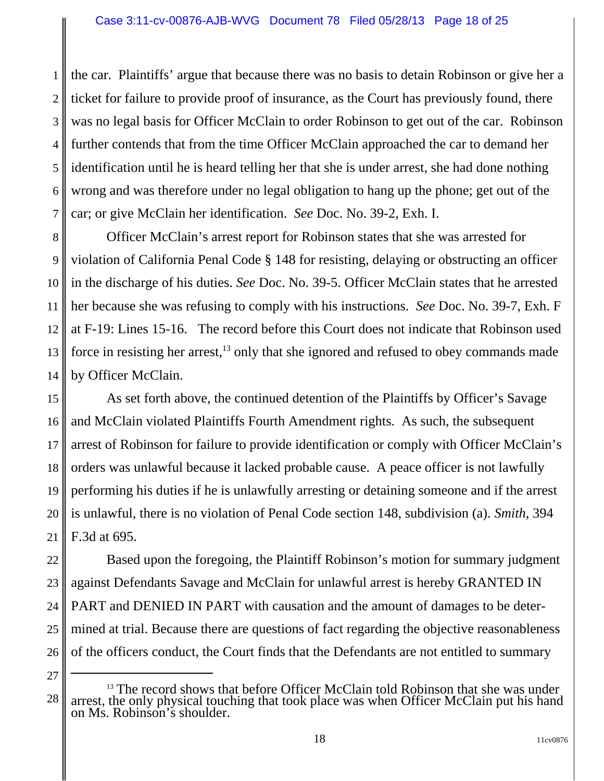1 2 3 4 5 6 7 the car. Plaintiffs' argue that because there was no basis to detain Robinson or give her a ticket for failure to provide proof of insurance, as the Court has previously found, there was no legal basis for Officer McClain to order Robinson to get out of the car. Robinson further contends that from the time Officer McClain approached the car to demand her identification until he is heard telling her that she is under arrest, she had done nothing wrong and was therefore under no legal obligation to hang up the phone; get out of the car; or give McClain her identification. *See* Doc. No. 39-2, Exh. I.

8 9 10 11 12 13 14 Officer McClain's arrest report for Robinson states that she was arrested for violation of California Penal Code § 148 for resisting, delaying or obstructing an officer in the discharge of his duties. *See* Doc. No. 39-5. Officer McClain states that he arrested her because she was refusing to comply with his instructions. *See* Doc. No. 39-7, Exh. F at F-19: Lines 15-16. The record before this Court does not indicate that Robinson used force in resisting her arrest, $^{13}$  only that she ignored and refused to obey commands made by Officer McClain.

15 16 17 18 19 20 21 As set forth above, the continued detention of the Plaintiffs by Officer's Savage and McClain violated Plaintiffs Fourth Amendment rights. As such, the subsequent arrest of Robinson for failure to provide identification or comply with Officer McClain's orders was unlawful because it lacked probable cause. A peace officer is not lawfully performing his duties if he is unlawfully arresting or detaining someone and if the arrest is unlawful, there is no violation of Penal Code section 148, subdivision (a). *Smith*, 394 F.3d at 695.

22 23 24 25 26 Based upon the foregoing, the Plaintiff Robinson's motion for summary judgment against Defendants Savage and McClain for unlawful arrest is hereby GRANTED IN PART and DENIED IN PART with causation and the amount of damages to be determined at trial. Because there are questions of fact regarding the objective reasonableness of the officers conduct, the Court finds that the Defendants are not entitled to summary

<sup>27</sup>

<sup>28</sup> <sup>13</sup> The record shows that before Officer McClain told Robinson that she was under arrest, the only physical touching that took place was when Officer McClain put his hand on Ms. Robinson's shoulder.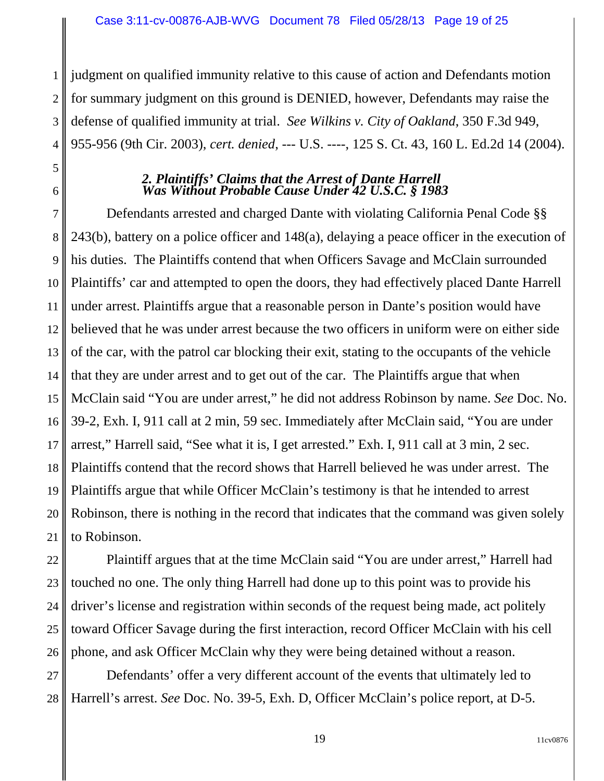1 2 3 4 judgment on qualified immunity relative to this cause of action and Defendants motion for summary judgment on this ground is DENIED, however, Defendants may raise the defense of qualified immunity at trial. *See Wilkins v. City of Oakland*, 350 F.3d 949, 955-956 (9th Cir. 2003), *cert. denied*, --- U.S. ----, 125 S. Ct. 43, 160 L. Ed.2d 14 (2004).

## *2. Plaintiffs' Claims that the Arrest of Dante Harrell Was Without Probable Cause Under 42 U.S.C. § 1983*

5

6

7 8 9 10 11 12 13 14 15 16 17 18 19 20 21 Defendants arrested and charged Dante with violating California Penal Code §§ 243(b), battery on a police officer and 148(a), delaying a peace officer in the execution of his duties. The Plaintiffs contend that when Officers Savage and McClain surrounded Plaintiffs' car and attempted to open the doors, they had effectively placed Dante Harrell under arrest. Plaintiffs argue that a reasonable person in Dante's position would have believed that he was under arrest because the two officers in uniform were on either side of the car, with the patrol car blocking their exit, stating to the occupants of the vehicle that they are under arrest and to get out of the car. The Plaintiffs argue that when McClain said "You are under arrest," he did not address Robinson by name. *See* Doc. No. 39-2, Exh. I, 911 call at 2 min, 59 sec. Immediately after McClain said, "You are under arrest," Harrell said, "See what it is, I get arrested." Exh. I, 911 call at 3 min, 2 sec. Plaintiffs contend that the record shows that Harrell believed he was under arrest. The Plaintiffs argue that while Officer McClain's testimony is that he intended to arrest Robinson, there is nothing in the record that indicates that the command was given solely to Robinson.

22 23 24 25 26 Plaintiff argues that at the time McClain said "You are under arrest," Harrell had touched no one. The only thing Harrell had done up to this point was to provide his driver's license and registration within seconds of the request being made, act politely toward Officer Savage during the first interaction, record Officer McClain with his cell phone, and ask Officer McClain why they were being detained without a reason.

27 28 Defendants' offer a very different account of the events that ultimately led to Harrell's arrest. *See* Doc. No. 39-5, Exh. D, Officer McClain's police report, at D-5.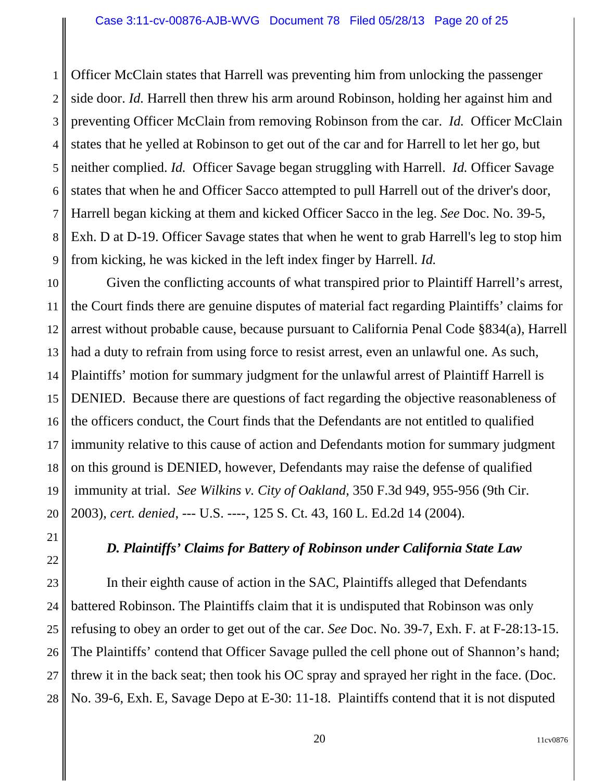1 2 3 4 5 6 7 8 9 Officer McClain states that Harrell was preventing him from unlocking the passenger side door. *Id.* Harrell then threw his arm around Robinson, holding her against him and preventing Officer McClain from removing Robinson from the car. *Id.* Officer McClain states that he yelled at Robinson to get out of the car and for Harrell to let her go, but neither complied. *Id.* Officer Savage began struggling with Harrell. *Id.* Officer Savage states that when he and Officer Sacco attempted to pull Harrell out of the driver's door, Harrell began kicking at them and kicked Officer Sacco in the leg. *See* Doc. No. 39-5, Exh. D at D-19. Officer Savage states that when he went to grab Harrell's leg to stop him from kicking, he was kicked in the left index finger by Harrell. *Id.*

10 11 12 13 14 15 16 17 18 19 20 Given the conflicting accounts of what transpired prior to Plaintiff Harrell's arrest, the Court finds there are genuine disputes of material fact regarding Plaintiffs' claims for arrest without probable cause, because pursuant to California Penal Code §834(a), Harrell had a duty to refrain from using force to resist arrest, even an unlawful one. As such, Plaintiffs' motion for summary judgment for the unlawful arrest of Plaintiff Harrell is DENIED. Because there are questions of fact regarding the objective reasonableness of the officers conduct, the Court finds that the Defendants are not entitled to qualified immunity relative to this cause of action and Defendants motion for summary judgment on this ground is DENIED, however, Defendants may raise the defense of qualified immunity at trial. *See Wilkins v. City of Oakland*, 350 F.3d 949, 955-956 (9th Cir. 2003), *cert. denied*, --- U.S. ----, 125 S. Ct. 43, 160 L. Ed.2d 14 (2004).

# *D. Plaintiffs' Claims for Battery of Robinson under California State Law*

21

22

23

24

25

26

27

28

In their eighth cause of action in the SAC, Plaintiffs alleged that Defendants battered Robinson. The Plaintiffs claim that it is undisputed that Robinson was only refusing to obey an order to get out of the car. *See* Doc. No. 39-7, Exh. F*.* at F-28:13-15. The Plaintiffs' contend that Officer Savage pulled the cell phone out of Shannon's hand; threw it in the back seat; then took his OC spray and sprayed her right in the face. (Doc. No. 39-6, Exh. E, Savage Depo at E-30: 11-18. Plaintiffs contend that it is not disputed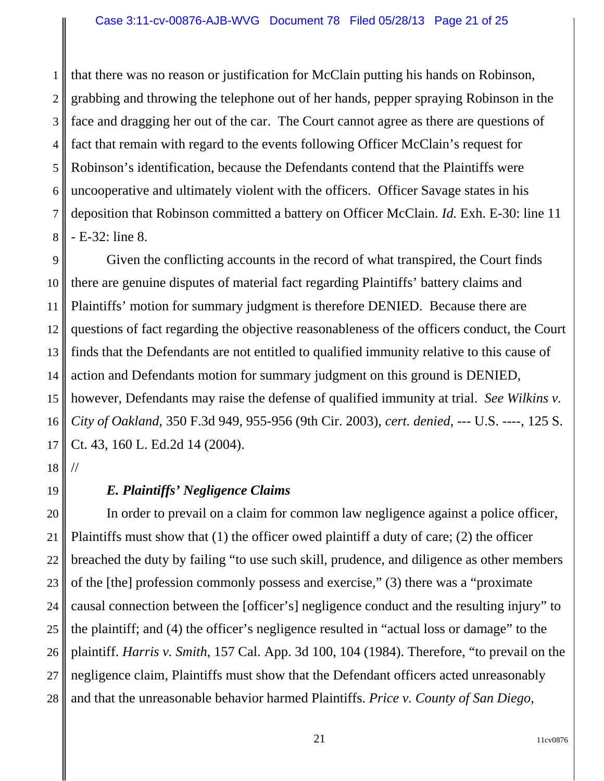1 2 3 4 5 6 7 8 that there was no reason or justification for McClain putting his hands on Robinson, grabbing and throwing the telephone out of her hands, pepper spraying Robinson in the face and dragging her out of the car. The Court cannot agree as there are questions of fact that remain with regard to the events following Officer McClain's request for Robinson's identification, because the Defendants contend that the Plaintiffs were uncooperative and ultimately violent with the officers. Officer Savage states in his deposition that Robinson committed a battery on Officer McClain. *Id.* Exh. E-30: line 11 - E-32: line 8.

9 10 11 12 13 14 15 16 17 Given the conflicting accounts in the record of what transpired, the Court finds there are genuine disputes of material fact regarding Plaintiffs' battery claims and Plaintiffs' motion for summary judgment is therefore DENIED. Because there are questions of fact regarding the objective reasonableness of the officers conduct, the Court finds that the Defendants are not entitled to qualified immunity relative to this cause of action and Defendants motion for summary judgment on this ground is DENIED, however, Defendants may raise the defense of qualified immunity at trial. *See Wilkins v. City of Oakland*, 350 F.3d 949, 955-956 (9th Cir. 2003), *cert. denied*, --- U.S. ----, 125 S. Ct. 43, 160 L. Ed.2d 14 (2004).

18 //

19

# *E. Plaintiffs' Negligence Claims*

20 21 22 23 24 25 26 27 28 In order to prevail on a claim for common law negligence against a police officer, Plaintiffs must show that (1) the officer owed plaintiff a duty of care; (2) the officer breached the duty by failing "to use such skill, prudence, and diligence as other members of the [the] profession commonly possess and exercise," (3) there was a "proximate causal connection between the [officer's] negligence conduct and the resulting injury" to the plaintiff; and (4) the officer's negligence resulted in "actual loss or damage" to the plaintiff. *Harris v. Smith*, 157 Cal. App. 3d 100, 104 (1984). Therefore, "to prevail on the negligence claim, Plaintiffs must show that the Defendant officers acted unreasonably and that the unreasonable behavior harmed Plaintiffs. *Price v. County of San Diego,*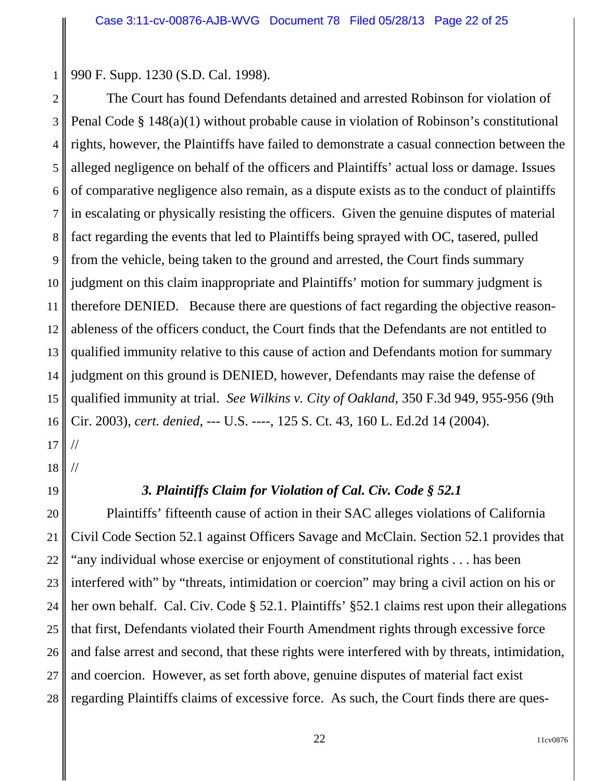990 F. Supp. 1230 (S.D. Cal. 1998).

2 3 4 5 6 7 8 9 10 11 12 13 14 15 16 17 The Court has found Defendants detained and arrested Robinson for violation of Penal Code § 148(a)(1) without probable cause in violation of Robinson's constitutional rights, however, the Plaintiffs have failed to demonstrate a casual connection between the alleged negligence on behalf of the officers and Plaintiffs' actual loss or damage. Issues of comparative negligence also remain, as a dispute exists as to the conduct of plaintiffs in escalating or physically resisting the officers. Given the genuine disputes of material fact regarding the events that led to Plaintiffs being sprayed with OC, tasered, pulled from the vehicle, being taken to the ground and arrested, the Court finds summary judgment on this claim inappropriate and Plaintiffs' motion for summary judgment is therefore DENIED. Because there are questions of fact regarding the objective reasonableness of the officers conduct, the Court finds that the Defendants are not entitled to qualified immunity relative to this cause of action and Defendants motion for summary judgment on this ground is DENIED, however, Defendants may raise the defense of qualified immunity at trial. *See Wilkins v. City of Oakland*, 350 F.3d 949, 955-956 (9th Cir. 2003), *cert. denied*, --- U.S. ----, 125 S. Ct. 43, 160 L. Ed.2d 14 (2004). //

1

18 //

19

*3. Plaintiffs Claim for Violation of Cal. Civ. Code § 52.1*

20 21 22 23 24 25 26 27 28 Plaintiffs' fifteenth cause of action in their SAC alleges violations of California Civil Code Section 52.1 against Officers Savage and McClain. Section 52.1 provides that "any individual whose exercise or enjoyment of constitutional rights . . . has been interfered with" by "threats, intimidation or coercion" may bring a civil action on his or her own behalf. Cal. Civ. Code § 52.1. Plaintiffs' §52.1 claims rest upon their allegations that first, Defendants violated their Fourth Amendment rights through excessive force and false arrest and second, that these rights were interfered with by threats, intimidation, and coercion. However, as set forth above, genuine disputes of material fact exist regarding Plaintiffs claims of excessive force. As such, the Court finds there are ques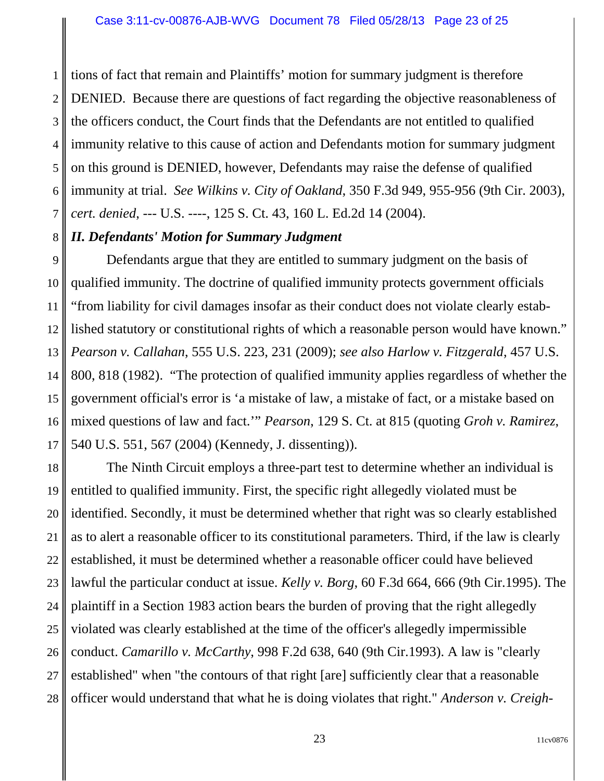1 2 3 4 5 6 7 tions of fact that remain and Plaintiffs' motion for summary judgment is therefore DENIED. Because there are questions of fact regarding the objective reasonableness of the officers conduct, the Court finds that the Defendants are not entitled to qualified immunity relative to this cause of action and Defendants motion for summary judgment on this ground is DENIED, however, Defendants may raise the defense of qualified immunity at trial. *See Wilkins v. City of Oakland*, 350 F.3d 949, 955-956 (9th Cir. 2003), *cert. denied*, --- U.S. ----, 125 S. Ct. 43, 160 L. Ed.2d 14 (2004).

#### 8 *II. Defendants' Motion for Summary Judgment*

9 10 11 12 13 14 15 16 17 Defendants argue that they are entitled to summary judgment on the basis of qualified immunity. The doctrine of qualified immunity protects government officials "from liability for civil damages insofar as their conduct does not violate clearly established statutory or constitutional rights of which a reasonable person would have known." *Pearson v. Callahan*, 555 U.S. 223, 231 (2009); *see also Harlow v. Fitzgerald*, 457 U.S. 800, 818 (1982). "The protection of qualified immunity applies regardless of whether the government official's error is 'a mistake of law, a mistake of fact, or a mistake based on mixed questions of law and fact.'" *Pearson*, 129 S. Ct. at 815 (quoting *Groh v. Ramirez*, 540 U.S. 551, 567 (2004) (Kennedy, J. dissenting)).

18 19 20 21 22 23 24 25 26 27 28 The Ninth Circuit employs a three-part test to determine whether an individual is entitled to qualified immunity. First, the specific right allegedly violated must be identified. Secondly, it must be determined whether that right was so clearly established as to alert a reasonable officer to its constitutional parameters. Third, if the law is clearly established, it must be determined whether a reasonable officer could have believed lawful the particular conduct at issue. *Kelly v. Borg*, 60 F.3d 664, 666 (9th Cir.1995). The plaintiff in a Section 1983 action bears the burden of proving that the right allegedly violated was clearly established at the time of the officer's allegedly impermissible conduct. *Camarillo v. McCarthy*, 998 F.2d 638, 640 (9th Cir.1993). A law is "clearly established" when "the contours of that right [are] sufficiently clear that a reasonable officer would understand that what he is doing violates that right." *Anderson v. Creigh-*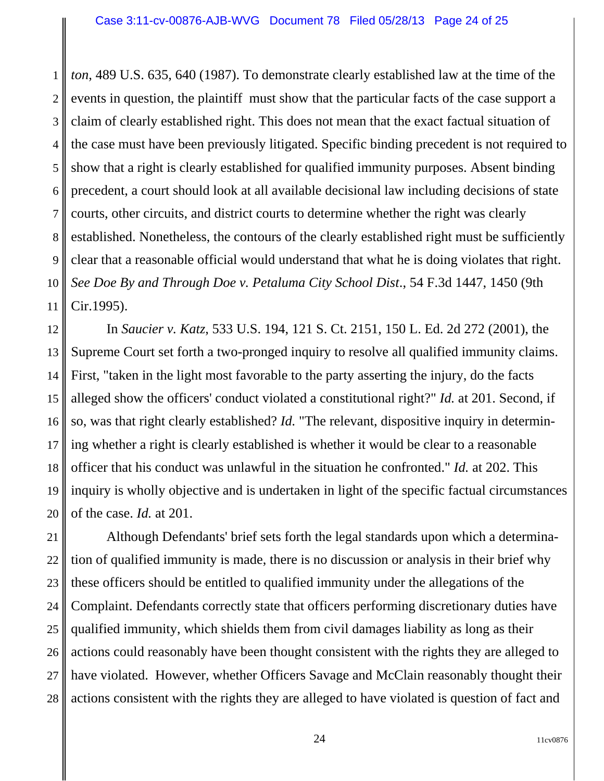1 2 3 4 5 6 7 8 9 10 11 *ton*, 489 U.S. 635, 640 (1987). To demonstrate clearly established law at the time of the events in question, the plaintiff must show that the particular facts of the case support a claim of clearly established right. This does not mean that the exact factual situation of the case must have been previously litigated. Specific binding precedent is not required to show that a right is clearly established for qualified immunity purposes. Absent binding precedent, a court should look at all available decisional law including decisions of state courts, other circuits, and district courts to determine whether the right was clearly established. Nonetheless, the contours of the clearly established right must be sufficiently clear that a reasonable official would understand that what he is doing violates that right. *See Doe By and Through Doe v. Petaluma City School Dist*., 54 F.3d 1447, 1450 (9th Cir.1995).

12 13 14 15 16 17 18 19 20 In *Saucier v. Katz*, 533 U.S. 194, 121 S. Ct. 2151, 150 L. Ed. 2d 272 (2001), the Supreme Court set forth a two-pronged inquiry to resolve all qualified immunity claims. First, "taken in the light most favorable to the party asserting the injury, do the facts alleged show the officers' conduct violated a constitutional right?" *Id.* at 201. Second, if so, was that right clearly established? *Id.* "The relevant, dispositive inquiry in determining whether a right is clearly established is whether it would be clear to a reasonable officer that his conduct was unlawful in the situation he confronted." *Id.* at 202. This inquiry is wholly objective and is undertaken in light of the specific factual circumstances of the case. *Id.* at 201.

21 22 23 24 25 26 27 28 Although Defendants' brief sets forth the legal standards upon which a determination of qualified immunity is made, there is no discussion or analysis in their brief why these officers should be entitled to qualified immunity under the allegations of the Complaint. Defendants correctly state that officers performing discretionary duties have qualified immunity, which shields them from civil damages liability as long as their actions could reasonably have been thought consistent with the rights they are alleged to have violated. However, whether Officers Savage and McClain reasonably thought their actions consistent with the rights they are alleged to have violated is question of fact and